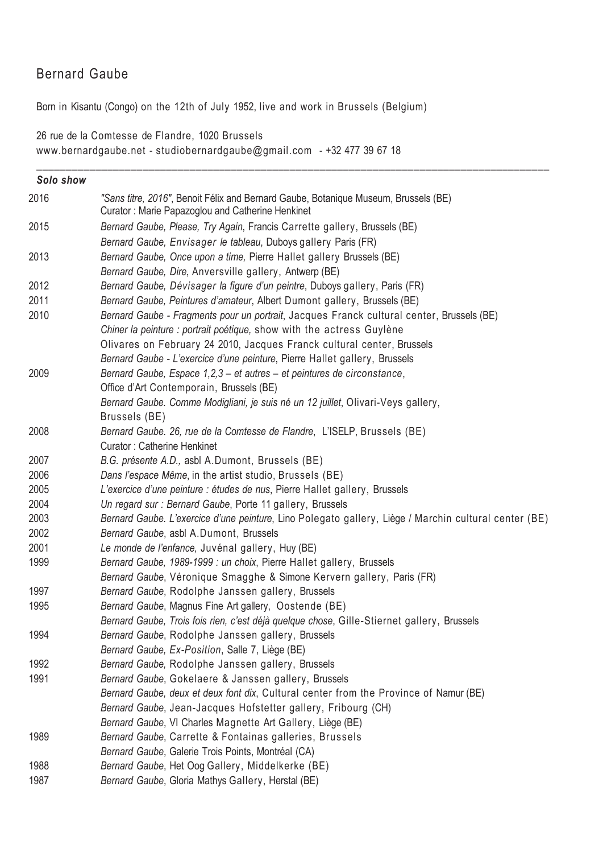# Bernard Gaube

Born in Kisantu (Congo) on the 12th of July 1952, live and work in Brussels (Belgium)

26 rue de la Comtesse de Flandre, 1020 Brussels www.bernardgaube.net - studiobernardgaube@gmail.com - +32 477 39 67 18

| Solo show |                                                                                                                                         |
|-----------|-----------------------------------------------------------------------------------------------------------------------------------------|
| 2016      | "Sans titre, 2016", Benoit Félix and Bernard Gaube, Botanique Museum, Brussels (BE)<br>Curator: Marie Papazoglou and Catherine Henkinet |
| 2015      | Bernard Gaube, Please, Try Again, Francis Carrette gallery, Brussels (BE)                                                               |
|           | Bernard Gaube, Envisager le tableau, Duboys gallery Paris (FR)                                                                          |
| 2013      | Bernard Gaube, Once upon a time, Pierre Hallet gallery Brussels (BE)                                                                    |
|           | Bernard Gaube, Dire, Anversville gallery, Antwerp (BE)                                                                                  |
| 2012      | Bernard Gaube, Dévisager la figure d'un peintre, Duboys gallery, Paris (FR)                                                             |
| 2011      | Bernard Gaube, Peintures d'amateur, Albert Dumont gallery, Brussels (BE)                                                                |
| 2010      | Bernard Gaube - Fragments pour un portrait, Jacques Franck cultural center, Brussels (BE)                                               |
|           | Chiner la peinture : portrait poétique, show with the actress Guylène                                                                   |
|           | Olivares on February 24 2010, Jacques Franck cultural center, Brussels                                                                  |
|           | Bernard Gaube - L'exercice d'une peinture, Pierre Hallet gallery, Brussels                                                              |
| 2009      | Bernard Gaube, Espace 1,2,3 - et autres - et peintures de circonstance,                                                                 |
|           | Office d'Art Contemporain, Brussels (BE)                                                                                                |
|           | Bernard Gaube. Comme Modigliani, je suis né un 12 juillet, Olivari-Veys gallery,                                                        |
|           | Brussels (BE)                                                                                                                           |
| 2008      | Bernard Gaube. 26, rue de la Comtesse de Flandre, L'ISELP, Brussels (BE)                                                                |
|           | <b>Curator: Catherine Henkinet</b>                                                                                                      |
| 2007      | B.G. présente A.D., asbl A.Dumont, Brussels (BE)                                                                                        |
| 2006      | Dans l'espace Même, in the artist studio, Brussels (BE)                                                                                 |
| 2005      | L'exercice d'une peinture : études de nus, Pierre Hallet gallery, Brussels                                                              |
| 2004      | Un regard sur : Bernard Gaube, Porte 11 gallery, Brussels                                                                               |
| 2003      | Bernard Gaube. L'exercice d'une peinture, Lino Polegato gallery, Liège / Marchin cultural center (BE)                                   |
| 2002      | Bernard Gaube, asbl A.Dumont, Brussels                                                                                                  |
| 2001      | Le monde de l'enfance, Juvénal gallery, Huy (BE)                                                                                        |
| 1999      | Bernard Gaube, 1989-1999 : un choix, Pierre Hallet gallery, Brussels                                                                    |
|           | Bernard Gaube, Véronique Smagghe & Simone Kervern gallery, Paris (FR)                                                                   |
| 1997      | Bernard Gaube, Rodolphe Janssen gallery, Brussels                                                                                       |
| 1995      | Bernard Gaube, Magnus Fine Art gallery, Oostende (BE)                                                                                   |
|           | Bernard Gaube, Trois fois rien, c'est déjà quelque chose, Gille-Stiernet gallery, Brussels                                              |
| 1994      | Bernard Gaube, Rodolphe Janssen gallery, Brussels                                                                                       |
|           | Bernard Gaube, Ex-Position, Salle 7, Liège (BE)                                                                                         |
| 1992      | Bernard Gaube, Rodolphe Janssen gallery, Brussels                                                                                       |
| 1991      | Bernard Gaube, Gokelaere & Janssen gallery, Brussels                                                                                    |
|           | Bernard Gaube, deux et deux font dix, Cultural center from the Province of Namur (BE)                                                   |
|           | Bernard Gaube, Jean-Jacques Hofstetter gallery, Fribourg (CH)                                                                           |
|           | Bernard Gaube, VI Charles Magnette Art Gallery, Liège (BE)                                                                              |
| 1989      | Bernard Gaube, Carrette & Fontainas galleries, Brussels                                                                                 |
|           | Bernard Gaube, Galerie Trois Points, Montréal (CA)                                                                                      |
| 1988      | Bernard Gaube, Het Oog Gallery, Middelkerke (BE)                                                                                        |
| 1987      | Bernard Gaube, Gloria Mathys Gallery, Herstal (BE)                                                                                      |

\_\_\_\_\_\_\_\_\_\_\_\_\_\_\_\_\_\_\_\_\_\_\_\_\_\_\_\_\_\_\_\_\_\_\_\_\_\_\_\_\_\_\_\_\_\_\_\_\_\_\_\_\_\_\_\_\_\_\_\_\_\_\_\_\_\_\_\_\_\_\_\_\_\_\_\_\_\_\_\_\_\_\_\_\_\_\_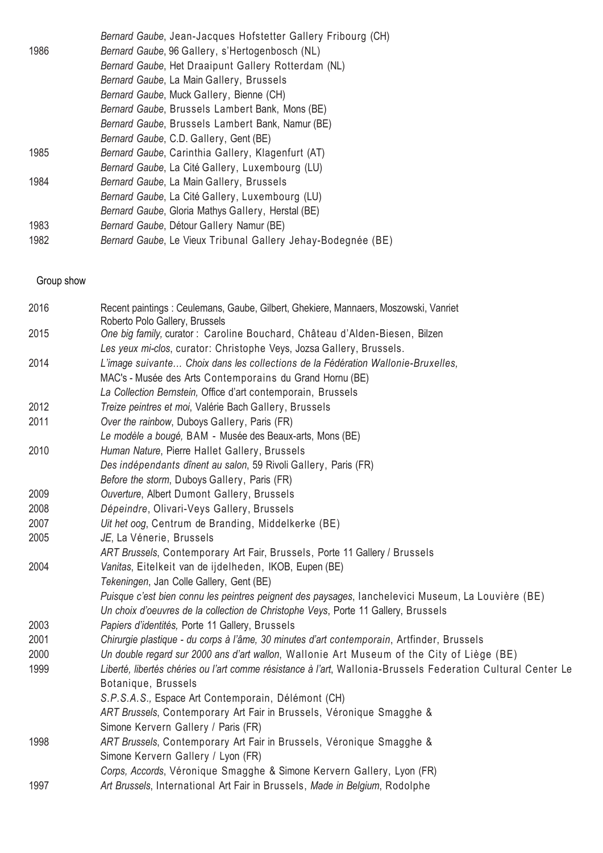|      | Bernard Gaube, Jean-Jacques Hofstetter Gallery Fribourg (CH) |
|------|--------------------------------------------------------------|
| 1986 | Bernard Gaube, 96 Gallery, s'Hertogenbosch (NL)              |
|      | Bernard Gaube, Het Draaipunt Gallery Rotterdam (NL)          |
|      | Bernard Gaube, La Main Gallery, Brussels                     |
|      | Bernard Gaube, Muck Gallery, Bienne (CH)                     |
|      | Bernard Gaube, Brussels Lambert Bank, Mons (BE)              |
|      | Bernard Gaube, Brussels Lambert Bank, Namur (BE)             |
|      | Bernard Gaube, C.D. Gallery, Gent (BE)                       |
| 1985 | Bernard Gaube, Carinthia Gallery, Klagenfurt (AT)            |
|      | Bernard Gaube, La Cité Gallery, Luxembourg (LU)              |
| 1984 | Bernard Gaube, La Main Gallery, Brussels                     |
|      | Bernard Gaube, La Cité Gallery, Luxembourg (LU)              |
|      | Bernard Gaube, Gloria Mathys Gallery, Herstal (BE)           |
| 1983 | Bernard Gaube, Détour Gallery Namur (BE)                     |
| 1982 | Bernard Gaube, Le Vieux Tribunal Gallery Jehay-Bodegnée (BE) |

Group show

| 2016 | Recent paintings : Ceulemans, Gaube, Gilbert, Ghekiere, Mannaers, Moszowski, Vanriet<br>Roberto Polo Gallery, Brussels |
|------|------------------------------------------------------------------------------------------------------------------------|
| 2015 | One big family, curator : Caroline Bouchard, Château d'Alden-Biesen, Bilzen                                            |
|      | Les yeux mi-clos, curator: Christophe Veys, Jozsa Gallery, Brussels.                                                   |
| 2014 | L'image suivante Choix dans les collections de la Fédération Wallonie-Bruxelles,                                       |
|      | MAC's - Musée des Arts Contemporains du Grand Hornu (BE)                                                               |
|      | La Collection Bernstein, Office d'art contemporain, Brussels                                                           |
| 2012 | Treize peintres et moi, Valérie Bach Gallery, Brussels                                                                 |
| 2011 | Over the rainbow, Duboys Gallery, Paris (FR)                                                                           |
|      | Le modèle a bougé, BAM - Musée des Beaux-arts, Mons (BE)                                                               |
| 2010 | Human Nature, Pierre Hallet Gallery, Brussels                                                                          |
|      | Des indépendants dînent au salon, 59 Rivoli Gallery, Paris (FR)                                                        |
|      | Before the storm, Duboys Gallery, Paris (FR)                                                                           |
| 2009 | Ouverture, Albert Dumont Gallery, Brussels                                                                             |
| 2008 | Dépeindre, Olivari-Veys Gallery, Brussels                                                                              |
| 2007 | Uit het oog, Centrum de Branding, Middelkerke (BE)                                                                     |
| 2005 | JE, La Vénerie, Brussels                                                                                               |
|      | ART Brussels, Contemporary Art Fair, Brussels, Porte 11 Gallery / Brussels                                             |
| 2004 | Vanitas, Eitelkeit van de ijdelheden, IKOB, Eupen (BE)                                                                 |
|      | Tekeningen, Jan Colle Gallery, Gent (BE)                                                                               |
|      | Puisque c'est bien connu les peintres peignent des paysages, lanchelevici Museum, La Louvière (BE)                     |
|      | Un choix d'oeuvres de la collection de Christophe Veys, Porte 11 Gallery, Brussels                                     |
| 2003 | Papiers d'identités, Porte 11 Gallery, Brussels                                                                        |
| 2001 | Chirurgie plastique - du corps à l'âme, 30 minutes d'art contemporain, Artfinder, Brussels                             |
| 2000 | Un double regard sur 2000 ans d'art wallon, Wallonie Art Museum of the City of Liège (BE)                              |
| 1999 | Liberté, libertés chéries ou l'art comme résistance à l'art, Wallonia-Brussels Federation Cultural Center Le           |
|      | Botanique, Brussels                                                                                                    |
|      | S.P.S.A.S., Espace Art Contemporain, Délémont (CH)                                                                     |
|      | ART Brussels, Contemporary Art Fair in Brussels, Véronique Smagghe &                                                   |
|      | Simone Kervern Gallery / Paris (FR)                                                                                    |
| 1998 | ART Brussels, Contemporary Art Fair in Brussels, Véronique Smagghe &                                                   |
|      | Simone Kervern Gallery / Lyon (FR)                                                                                     |
|      | Corps, Accords, Véronique Smagghe & Simone Kervern Gallery, Lyon (FR)                                                  |
| 1997 | Art Brussels, International Art Fair in Brussels, Made in Belgium, Rodolphe                                            |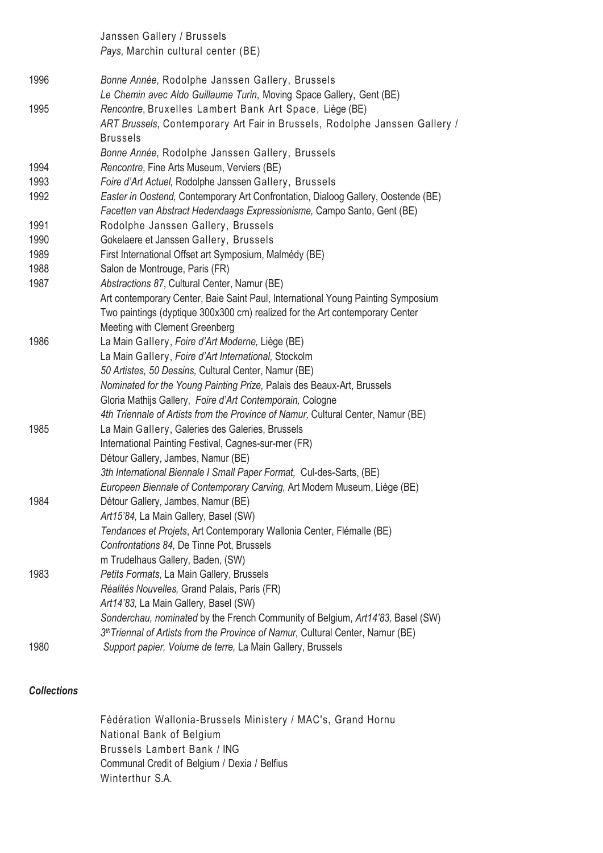Janssen Gallery / Brussels Pays, Marchin cultural center (BE)

1996 Bonne Année, Rodolphe Janssen Gallery, Brussels Le Chemin avec Aldo Guillaume Turin, Moving Space Gallery, Gent (BE) 1995 Rencontre, Bruxelles Lambert Bank Art Space, Liège (BE) ART Brussels, Contemporary Art Fair in Brussels, Rodolphe Janssen Gallery / Brussels Bonne Année, Rodolphe Janssen Gallery, Brussels 1994 Rencontre, Fine Arts Museum, Verviers (BE) 1993 Foire d'Art Actuel, Rodolphe Janssen Gallery, Brussels 1992 Easter in Oostend, Contemporary Art Confrontation, Dialoog Gallery, Oostende (BE) Facetten van Abstract Hedendaags Expressionisme, Campo Santo, Gent (BE) 1991 Rodolphe Janssen Gallery, Brussels 1990 Gokelaere et Janssen Gallery, Brussels 1989 First International Offset art Symposium, Malmédy (BE) 1988 Salon de Montrouge, Paris (FR) 1987 Abstractions 87, Cultural Center, Namur (BE) Art contemporary Center, Baie Saint Paul, International Young Painting Symposium Two paintings (dyptique 300x300 cm) realized for the Art contemporary Center Meeting with Clement Greenberg 1986 La Main Gallery, Foire d'Art Moderne, Liège (BE) La Main Gallery, Foire d'Art International, Stockolm 50 Artistes, 50 Dessins, Cultural Center, Namur (BE) Nominated for the Young Painting Prize, Palais des Beaux-Art, Brussels Gloria Mathijs Gallery, Foire d'Art Contemporain, Cologne 4th Triennale of Artists from the Province of Namur, Cultural Center, Namur (BE) 1985 La Main Gallery, Galeries des Galeries, Brussels International Painting Festival, Cagnes-sur-mer (FR) Détour Gallery, Jambes, Namur (BE) 3th International Biennale I Small Paper Format, Cul-des-Sarts, (BE) Europeen Biennale of Contemporary Carving, Art Modern Museum, Liège (BE) 1984 Détour Gallery, Jambes, Namur (BE) Art15'84, La Main Gallery, Basel (SW) Tendances et Projets, Art Contemporary Wallonia Center, Flémalle (BE) Confrontations 84, De Tinne Pot, Brussels m Trudelhaus Gallery, Baden, (SW) 1983 Petits Formats, La Main Gallery, Brussels Réalités Nouvelles, Grand Palais, Paris (FR) Art14'83, La Main Gallery, Basel (SW) Sonderchau, nominated by the French Community of Belgium, Art14'83, Basel (SW) 3<sup>th</sup> Triennal of Artists from the Province of Namur, Cultural Center, Namur (BE) 1980 Support papier, Volume de terre, La Main Gallery, Brussels

#### **Collections**

Fédération Wallonia-Brussels Ministery / MAC's, Grand Hornu National Bank of Belgium Brussels Lambert Bank / ING Communal Credit of Belgium / Dexia / Belfius Winterthur S.A.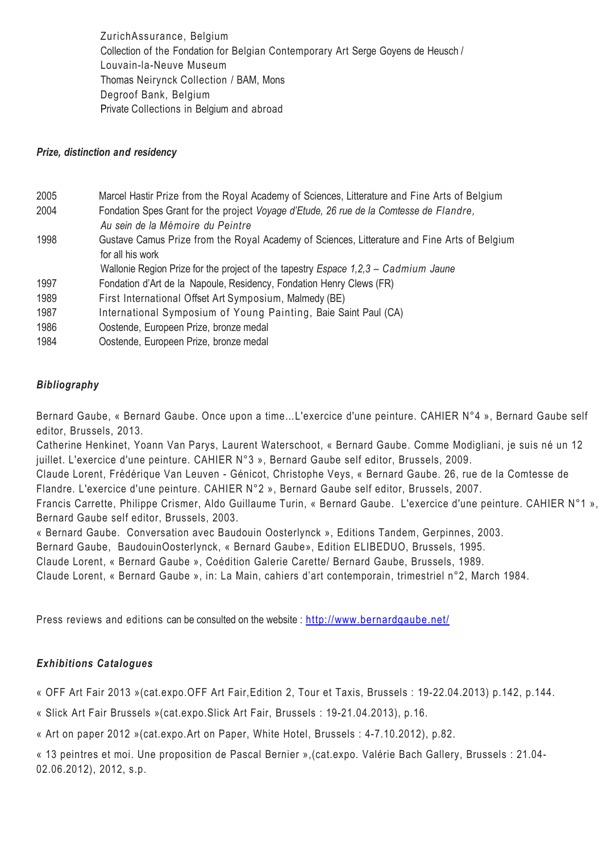ZurichAssurance, Belgium Collection of the Fondation for Belgian Contemporary Art Serge Goyens de Heusch / Louvain-la-Neuve Museum Thomas Neirynck Collection / BAM, Mons Degroof Bank, Belgium Private Collections in Belgium and abroad

#### Prize, distinction and residency

- 2005 Marcel Hastir Prize from the Royal Academy of Sciences, Litterature and Fine Arts of Belgium
- 2004 Fondation Spes Grant for the project Voyage d'Etude, 26 rue de la Comtesse de Flandre, Au sein de la Mémoire du Peintre
- 1998 Gustave Camus Prize from the Royal Academy of Sciences, Litterature and Fine Arts of Belgium for all his work
	- Wallonie Region Prize for the project of the tapestry Espace 1,2,3 Cadmium Jaune
- 1997 Fondation d'Art de la Napoule, Residency, Fondation Henry Clews (FR)
- 1989 First International Offset Art Symposium, Malmedy (BE)
- 1987 International Symposium of Young Painting, Baie Saint Paul (CA)
- 1986 Oostende, Europeen Prize, bronze medal
- 1984 Oostende, Europeen Prize, bronze medal

## Bibliography

Bernard Gaube, « Bernard Gaube. Once upon a time…L'exercice d'une peinture. CAHIER N°4 », Bernard Gaube self editor, Brussels, 2013.

Catherine Henkinet, Yoann Van Parys, Laurent Waterschoot, « Bernard Gaube. Comme Modigliani, je suis né un 12 juillet. L'exercice d'une peinture. CAHIER N°3 », Bernard Gaube self editor, Brussels, 2009.

Claude Lorent, Frédérique Van Leuven - Génicot, Christophe Veys, « Bernard Gaube. 26, rue de la Comtesse de Flandre. L'exercice d'une peinture. CAHIER N°2 », Bernard Gaube self editor, Brussels, 2007.

Francis Carrette, Philippe Crismer, Aldo Guillaume Turin, « Bernard Gaube. L'exercice d'une peinture. CAHIER N°1 », Bernard Gaube self editor, Brussels, 2003.

« Bernard Gaube. Conversation avec Baudouin Oosterlynck », Editions Tandem, Gerpinnes, 2003.

Bernard Gaube, BaudouinOosterlynck, « Bernard Gaube», Edition ELIBEDUO, Brussels, 1995.

Claude Lorent, « Bernard Gaube », Coédition Galerie Carette/ Bernard Gaube, Brussels, 1989.

Claude Lorent, « Bernard Gaube », in: La Main, cahiers d'art contemporain, trimestriel n°2, March 1984.

Press reviews and editions can be consulted on the website: http://www.bernardgaube.net/

#### Exhibitions Catalogues

« OFF Art Fair 2013 »(cat.expo.OFF Art Fair,Edition 2, Tour et Taxis, Brussels : 19-22.04.2013) p.142, p.144.

« Slick Art Fair Brussels »(cat.expo.Slick Art Fair, Brussels : 19-21.04.2013), p.16.

« Art on paper 2012 »(cat.expo.Art on Paper, White Hotel, Brussels : 4-7.10.2012), p.82.

« 13 peintres et moi. Une proposition de Pascal Bernier »,(cat.expo. Valérie Bach Gallery, Brussels : 21.04- 02.06.2012), 2012, s.p.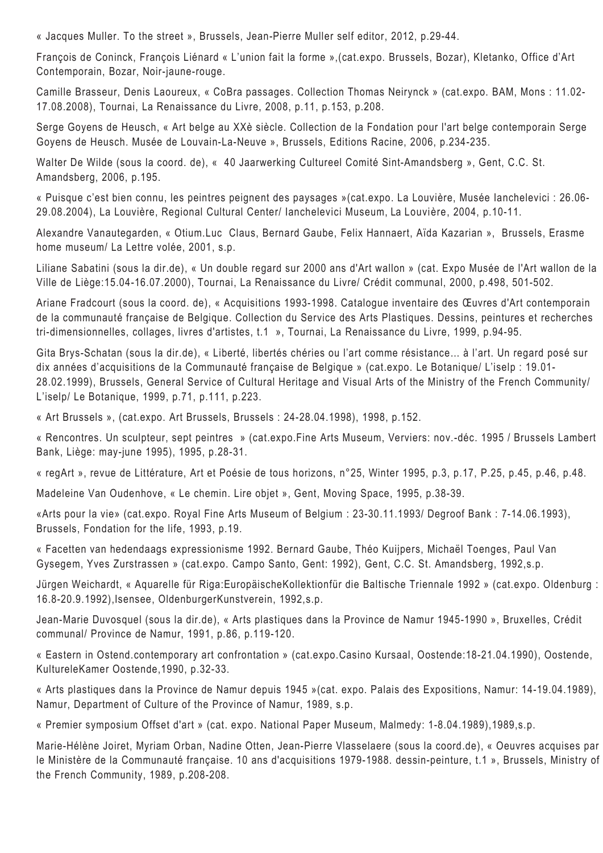« Jacques Muller. To the street », Brussels, Jean-Pierre Muller self editor, 2012, p.29-44.

François de Coninck, François Liénard « L'union fait la forme »,(cat.expo. Brussels, Bozar), Kletanko, Office d'Art Contemporain, Bozar, Noir-jaune-rouge.

Camille Brasseur, Denis Laoureux, « CoBra passages. Collection Thomas Neirynck » (cat.expo. BAM, Mons : 11.02- 17.08.2008), Tournai, La Renaissance du Livre, 2008, p.11, p.153, p.208.

Serge Goyens de Heusch, « Art belge au XXè siècle. Collection de la Fondation pour l'art belge contemporain Serge Goyens de Heusch. Musée de Louvain-La-Neuve », Brussels, Editions Racine, 2006, p.234-235.

Walter De Wilde (sous la coord. de), « 40 Jaarwerking Cultureel Comité Sint-Amandsberg », Gent, C.C. St. Amandsberg, 2006, p.195.

« Puisque c'est bien connu, les peintres peignent des paysages »(cat.expo. La Louvière, Musée Ianchelevici : 26.06- 29.08.2004), La Louvière, Regional Cultural Center/ Ianchelevici Museum, La Louvière, 2004, p.10-11.

Alexandre Vanautegarden, « Otium.Luc Claus, Bernard Gaube, Felix Hannaert, Aïda Kazarian », Brussels, Erasme home museum/ La Lettre volée, 2001, s.p.

Liliane Sabatini (sous la dir.de), « Un double regard sur 2000 ans d'Art wallon » (cat. Expo Musée de l'Art wallon de la Ville de Liège:15.04-16.07.2000), Tournai, La Renaissance du Livre/ Crédit communal, 2000, p.498, 501-502.

Ariane Fradcourt (sous la coord. de), « Acquisitions 1993-1998. Catalogue inventaire des Œuvres d'Art contemporain de la communauté française de Belgique. Collection du Service des Arts Plastiques. Dessins, peintures et recherches tri-dimensionnelles, collages, livres d'artistes, t.1 », Tournai, La Renaissance du Livre, 1999, p.94-95.

Gita Brys-Schatan (sous la dir.de), « Liberté, libertés chéries ou l'art comme résistance… à l'art. Un regard posé sur dix années d'acquisitions de la Communauté française de Belgique » (cat.expo. Le Botanique/ L'iselp : 19.01- 28.02.1999), Brussels, General Service of Cultural Heritage and Visual Arts of the Ministry of the French Community/ L'iselp/ Le Botanique, 1999, p.71, p.111, p.223.

« Art Brussels », (cat.expo. Art Brussels, Brussels : 24-28.04.1998), 1998, p.152.

« Rencontres. Un sculpteur, sept peintres » (cat.expo.Fine Arts Museum, Verviers: nov.-déc. 1995 / Brussels Lambert Bank, Liège: may-june 1995), 1995, p.28-31.

« regArt », revue de Littérature, Art et Poésie de tous horizons, n°25, Winter 1995, p.3, p.17, P.25, p.45, p.46, p.48.

Madeleine Van Oudenhove, « Le chemin. Lire objet », Gent, Moving Space, 1995, p.38-39.

«Arts pour la vie» (cat.expo. Royal Fine Arts Museum of Belgium : 23-30.11.1993/ Degroof Bank : 7-14.06.1993), Brussels, Fondation for the life, 1993, p.19.

« Facetten van hedendaags expressionisme 1992. Bernard Gaube, Théo Kuijpers, Michaël Toenges, Paul Van Gysegem, Yves Zurstrassen » (cat.expo. Campo Santo, Gent: 1992), Gent, C.C. St. Amandsberg, 1992,s.p.

Jürgen Weichardt, « Aquarelle für Riga:EuropäischeKollektionfür die Baltische Triennale 1992 » (cat.expo. Oldenburg : 16.8-20.9.1992),Isensee, OldenburgerKunstverein, 1992,s.p.

Jean-Marie Duvosquel (sous la dir.de), « Arts plastiques dans la Province de Namur 1945-1990 », Bruxelles, Crédit communal/ Province de Namur, 1991, p.86, p.119-120.

« Eastern in Ostend.contemporary art confrontation » (cat.expo.Casino Kursaal, Oostende:18-21.04.1990), Oostende, KultureleKamer Oostende,1990, p.32-33.

« Arts plastiques dans la Province de Namur depuis 1945 »(cat. expo. Palais des Expositions, Namur: 14-19.04.1989), Namur, Department of Culture of the Province of Namur, 1989, s.p.

« Premier symposium Offset d'art » (cat. expo. National Paper Museum, Malmedy: 1-8.04.1989),1989,s.p.

Marie-Hélène Joiret, Myriam Orban, Nadine Otten, Jean-Pierre Vlasselaere (sous la coord.de), « Oeuvres acquises par le Ministère de la Communauté française. 10 ans d'acquisitions 1979-1988. dessin-peinture, t.1 », Brussels, Ministry of the French Community, 1989, p.208-208.